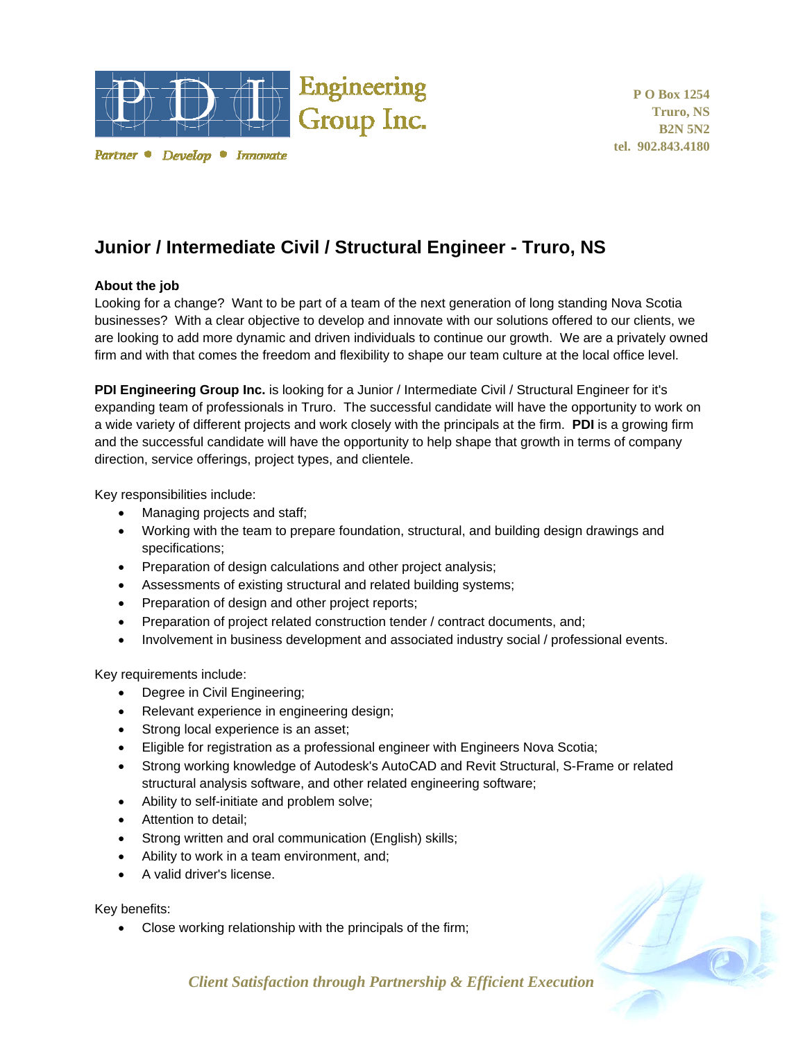

Partner • Develop • Innovate

**P O Box 1254 Truro, NS B2N 5N2 tel. 902.843.4180** 

## **Junior / Intermediate Civil / Structural Engineer - Truro, NS**

## **About the job**

Looking for a change? Want to be part of a team of the next generation of long standing Nova Scotia businesses? With a clear objective to develop and innovate with our solutions offered to our clients, we are looking to add more dynamic and driven individuals to continue our growth. We are a privately owned firm and with that comes the freedom and flexibility to shape our team culture at the local office level.

**PDI Engineering Group Inc.** is looking for a Junior / Intermediate Civil / Structural Engineer for it's expanding team of professionals in Truro. The successful candidate will have the opportunity to work on a wide variety of different projects and work closely with the principals at the firm. **PDI** is a growing firm and the successful candidate will have the opportunity to help shape that growth in terms of company direction, service offerings, project types, and clientele.

Key responsibilities include:

- Managing projects and staff;
- Working with the team to prepare foundation, structural, and building design drawings and specifications;
- Preparation of design calculations and other project analysis;
- Assessments of existing structural and related building systems;
- Preparation of design and other project reports;
- Preparation of project related construction tender / contract documents, and;
- Involvement in business development and associated industry social / professional events.

Key requirements include:

- Degree in Civil Engineering;
- Relevant experience in engineering design;
- Strong local experience is an asset;
- Eligible for registration as a professional engineer with Engineers Nova Scotia;
- Strong working knowledge of Autodesk's AutoCAD and Revit Structural, S-Frame or related structural analysis software, and other related engineering software;
- Ability to self-initiate and problem solve;
- Attention to detail:
- Strong written and oral communication (English) skills;
- Ability to work in a team environment, and;
- A valid driver's license.

Key benefits:

Close working relationship with the principals of the firm;



*Client Satisfaction through Partnership & Efficient Execution*